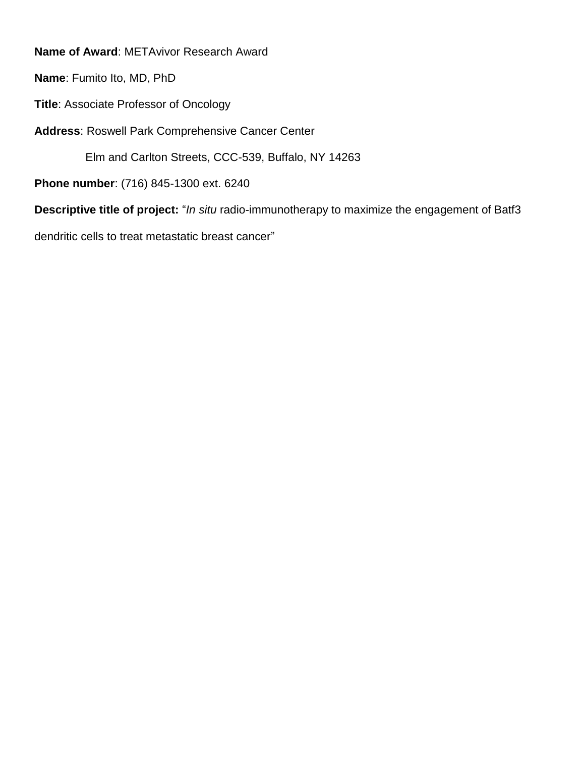**Name of Award**: METAvivor Research Award

**Name**: Fumito Ito, MD, PhD

**Title**: Associate Professor of Oncology

**Address**: Roswell Park Comprehensive Cancer Center

Elm and Carlton Streets, CCC-539, Buffalo, NY 14263

**Phone number**: (716) 845-1300 ext. 6240

**Descriptive title of project:** "*In situ* radio-immunotherapy to maximize the engagement of Batf3

dendritic cells to treat metastatic breast cancer"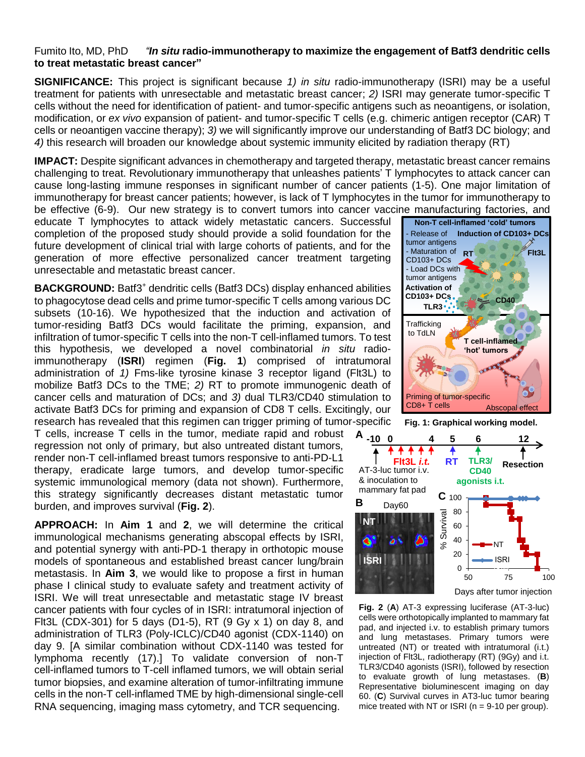## Fumito Ito, MD, PhD *"In situ* **radio-immunotherapy to maximize the engagement of Batf3 dendritic cells to treat metastatic breast cancer"**

**SIGNIFICANCE:** This project is significant because *1) in situ* radio-immunotherapy (ISRI) may be a useful treatment for patients with unresectable and metastatic breast cancer; *2)* ISRI may generate tumor-specific T cells without the need for identification of patient- and tumor-specific antigens such as neoantigens, or isolation, modification, or *ex vivo* expansion of patient- and tumor-specific T cells (e.g. chimeric antigen receptor (CAR) T cells or neoantigen vaccine therapy); *3)* we will significantly improve our understanding of Batf3 DC biology; and *4)* this research will broaden our knowledge about systemic immunity elicited by radiation therapy (RT)

**IMPACT:** Despite significant advances in chemotherapy and targeted therapy, metastatic breast cancer remains challenging to treat. Revolutionary immunotherapy that unleashes patients' T lymphocytes to attack cancer can cause long-lasting immune responses in significant number of cancer patients (1-5). One major limitation of immunotherapy for breast cancer patients; however, is lack of T lymphocytes in the tumor for immunotherapy to be effective (6-9). Our new strategy is to convert tumors into cancer vaccine manufacturing factories, and

educate T lymphocytes to attack widely metastatic cancers. Successful completion of the proposed study should provide a solid foundation for the future development of clinical trial with large cohorts of patients, and for the generation of more effective personalized cancer treatment targeting unresectable and metastatic breast cancer.

BACKGROUND: Batf3<sup>+</sup> dendritic cells (Batf3 DCs) display enhanced abilities to phagocytose dead cells and prime tumor-specific T cells among various DC subsets (10-16). We hypothesized that the induction and activation of tumor-residing Batf3 DCs would facilitate the priming, expansion, and infiltration of tumor-specific T cells into the non-T cell-inflamed tumors. To test this hypothesis, we developed a novel combinatorial *in situ* radioimmunotherapy (**ISRI**) regimen (**Fig. 1**) comprised of intratumoral administration of *1)* Fms-like tyrosine kinase 3 receptor ligand (Flt3L) to mobilize Batf3 DCs to the TME; *2)* RT to promote immunogenic death of cancer cells and maturation of DCs; and *3)* dual TLR3/CD40 stimulation to activate Batf3 DCs for priming and expansion of CD8 T cells. Excitingly, our research has revealed that this regimen can trigger priming of tumor-specific

T cells, increase T cells in the tumor, mediate rapid and robust regression not only of primary, but also untreated distant tumors, render non-T cell-inflamed breast tumors responsive to anti-PD-L1 therapy, eradicate large tumors, and develop tumor-specific systemic immunological memory (data not shown). Furthermore, this strategy significantly decreases distant metastatic tumor burden, and improves survival (**Fig. 2**).

**APPROACH:** In **Aim 1** and **2**, we will determine the critical immunological mechanisms generating abscopal effects by ISRI, and potential synergy with anti-PD-1 therapy in orthotopic mouse models of spontaneous and established breast cancer lung/brain metastasis. In **Aim 3**, we would like to propose a first in human phase I clinical study to evaluate safety and treatment activity of ISRI. We will treat unresectable and metastatic stage IV breast cancer patients with four cycles of in ISRI: intratumoral injection of FIt3L (CDX-301) for 5 days (D1-5), RT (9 Gy  $\times$  1) on day 8, and administration of TLR3 (Poly-ICLC)/CD40 agonist (CDX-1140) on day 9. [A similar combination without CDX-1140 was tested for lymphoma recently (17).] To validate conversion of non-T cell-inflamed tumors to T-cell inflamed tumors, we will obtain serial tumor biopsies, and examine alteration of tumor-infiltrating immune cells in the non-T cell-inflamed TME by high-dimensional single-cell RNA sequencing, imaging mass cytometry, and TCR sequencing.



**Fig. 1: Graphical working model.**



**Fig. 2** (**A**) AT-3 expressing luciferase (AT-3-luc) cells were orthotopically implanted to mammary fat pad, and injected i.v. to establish primary tumors and lung metastases. Primary tumors were untreated (NT) or treated with intratumoral (i.t.) injection of Flt3L, radiotherapy (RT) (9Gy) and i.t. TLR3/CD40 agonists (ISRI), followed by resection to evaluate growth of lung metastases. (**B**) Representative bioluminescent imaging on day 60. (**C**) Survival curves in AT3-luc tumor bearing **EXECUTE ANTIFY AND SET AND SET AND SET AND SET AND SET AND SOLUTION SET AND SOLUTION SET AND SOLUTION SET AND SURVIVED SET AND SERVED THAN A many fat padd, and injected i.v. to establish primary tumors were untreated (NT**